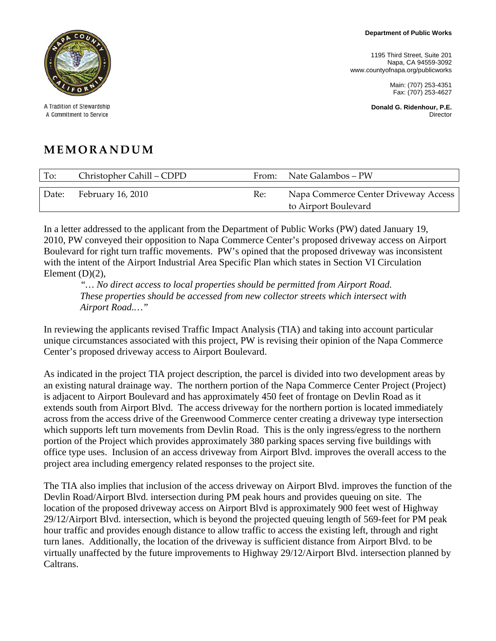1195 Third Street, Suite 201 Napa, CA 94559-3092 www.countyofnapa.org/publicworks

> Main: (707) 253-4351 Fax: (707) 253-4627

**Donald G. Ridenhour, P.E. Director** 



A Tradition of Stewardship A Commitment to Service

## **MEMORANDUM**

| To:   | Christopher Cahill - CDPD | From: | Nate Galambos – PW                                           |
|-------|---------------------------|-------|--------------------------------------------------------------|
| Date: | February 16, 2010         | Re:   | Napa Commerce Center Driveway Access<br>to Airport Boulevard |

In a letter addressed to the applicant from the Department of Public Works (PW) dated January 19, 2010, PW conveyed their opposition to Napa Commerce Center's proposed driveway access on Airport Boulevard for right turn traffic movements. PW's opined that the proposed driveway was inconsistent with the intent of the Airport Industrial Area Specific Plan which states in Section VI Circulation Element  $(D)(2)$ ,

 *"… No direct access to local properties should be permitted from Airport Road. These properties should be accessed from new collector streets which intersect with Airport Road.…"* 

In reviewing the applicants revised Traffic Impact Analysis (TIA) and taking into account particular unique circumstances associated with this project, PW is revising their opinion of the Napa Commerce Center's proposed driveway access to Airport Boulevard.

As indicated in the project TIA project description, the parcel is divided into two development areas by an existing natural drainage way. The northern portion of the Napa Commerce Center Project (Project) is adjacent to Airport Boulevard and has approximately 450 feet of frontage on Devlin Road as it extends south from Airport Blvd. The access driveway for the northern portion is located immediately across from the access drive of the Greenwood Commerce center creating a driveway type intersection which supports left turn movements from Devlin Road. This is the only ingress/egress to the northern portion of the Project which provides approximately 380 parking spaces serving five buildings with office type uses. Inclusion of an access driveway from Airport Blvd. improves the overall access to the project area including emergency related responses to the project site.

The TIA also implies that inclusion of the access driveway on Airport Blvd. improves the function of the Devlin Road/Airport Blvd. intersection during PM peak hours and provides queuing on site. The location of the proposed driveway access on Airport Blvd is approximately 900 feet west of Highway 29/12/Airport Blvd. intersection, which is beyond the projected queuing length of 569-feet for PM peak hour traffic and provides enough distance to allow traffic to access the existing left, through and right turn lanes. Additionally, the location of the driveway is sufficient distance from Airport Blvd. to be virtually unaffected by the future improvements to Highway 29/12/Airport Blvd. intersection planned by Caltrans.